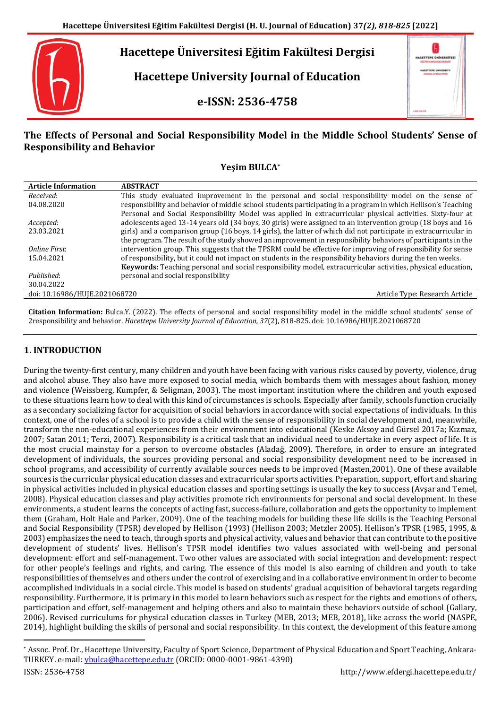

# **The Effects of Personal and Social Responsibility Model in the Middle School Students' Sense of Responsibility and Behavior**

## **Yeşim BULCA\***

| <b>Article Information</b>    | <b>ABSTRACT</b>                                                                                                  |
|-------------------------------|------------------------------------------------------------------------------------------------------------------|
| Received:                     | This study evaluated improvement in the personal and social responsibility model on the sense of                 |
| 04.08.2020                    | responsibility and behavior of middle school students participating in a program in which Hellison's Teaching    |
|                               | Personal and Social Responsibility Model was applied in extracurricular physical activities. Sixty-four at       |
| Accepted:                     | adolescents aged 13-14 years old (34 boys, 30 girls) were assigned to an intervention group (18 boys and 16      |
| 23.03.2021                    | girls) and a comparison group (16 boys, 14 girls), the latter of which did not participate in extracurricular in |
|                               | the program. The result of the study showed an improvement in responsibility behaviors of participants in the    |
| Online First:                 | intervention group. This suggests that the TPSRM could be effective for improving of responsibility for sense    |
| 15.04.2021                    | of responsibility, but it could not impact on students in the responsibility behaviors during the ten weeks.     |
|                               | Keywords: Teaching personal and social responsibility model, extracurricular activities, physical education,     |
| Published:                    | personal and social responsibility                                                                               |
| 30.04.2022                    |                                                                                                                  |
| doi: 10.16986/HUJE.2021068720 | Article Type: Research Article                                                                                   |

**Citation Information:** Bulca,Y. (2022). The effects of personal and social responsibility model in the middle school students' sense of 2responsibility and behavior. *Hacettepe University Journal of Education, 37*(2), 818-825. doi: 10.16986/HUJE.2021068720

## **1. INTRODUCTION**

During the twenty-first century, many children and youth have been facing with various risks caused by poverty, violence, drug and alcohol abuse. They also have more exposed to social media, which bombards them with messages about fashion, money and violence (Weissberg, Kumpfer, & Seligman, 2003). The most important institution where the children and youth exposed to these situations learn how to deal with this kind of circumstances is schools. Especially after family, schools function crucially as a secondary socializing factor for acquisition of social behaviors in accordance with social expectations of individuals. In this context, one of the roles of a school is to provide a child with the sense of responsibility in social development and, meanwhile, transform the non-educational experiences from their environment into educational (Keske Aksoy and Gürsel 2017a; Kızmaz, 2007; Satan 2011; Terzi, 2007). Responsibility is a critical task that an individual need to undertake in every aspect of life. It is the most crucial mainstay for a person to overcome obstacles (Aladağ, 2009). Therefore, in order to ensure an integrated development of individuals, the sources providing personal and social responsibility development need to be increased in school programs, and accessibility of currently available sources needs to be improved (Masten,2001). One of these available sources is the curricular physical education classes and extracurricular sports activities. Preparation, support, effort and sharing in physical activities included in physical education classes and sporting settings is usually the key to success (Avşar and Temel, 2008). Physical education classes and play activities promote rich environments for personal and social development. In these environments, a student learns the concepts of acting fast, success-failure, collaboration and gets the opportunity to implement them (Graham, Holt Hale and Parker, 2009). One of the teaching models for building these life skills is the Teaching Personal and Social Responsibility (TPSR) developed by Hellison (1993) (Hellison 2003; Metzler 2005). Hellison's TPSR (1985, 1995, & 2003) emphasizes the need to teach, through sports and physical activity, values and behavior that can contribute to the positive development of students' lives. Hellison's TPSR model identifies two values associated with well-being and personal development: effort and self-management. Two other values are associated with social integration and development: respect for other people's feelings and rights, and caring. The essence of this model is also earning of children and youth to take responsibilities of themselves and others under the control of exercising and in a collaborative environment in order to become accomplished individuals in a social circle. This model is based on students' gradual acquisition of behavioral targets regarding responsibility. Furthermore, it is primary in this model to learn behaviors such as respect for the rights and emotions of others, participation and effort, self-management and helping others and also to maintain these behaviors outside of school (Gallary, 2006). Revised curriculums for physical education classes in Turkey (MEB, 2013; MEB, 2018), like across the world (NASPE, 2014), highlight building the skills of personal and social responsibility. In this context, the development of this feature among

 $\ddot{\phantom{a}}$ 

<sup>\*</sup> Assoc. Prof. Dr., Hacettepe University, Faculty of Sport Science, Department of Physical Education and Sport Teaching, Ankara-TURKEY. e-mail: [ybulca@hacettepe.edu.tr](mailto:ybulca@hacettepe.edu.tr) (ORCID: 0000-0001-9861-4390)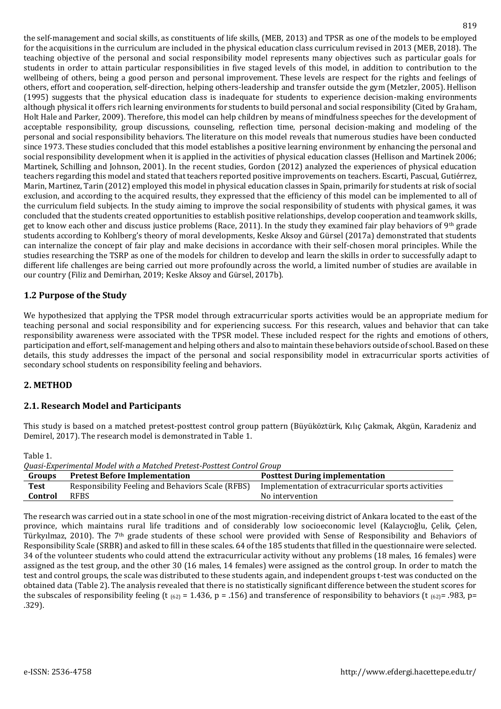the self-management and social skills, as constituents of life skills, (MEB, 2013) and TPSR as one of the models to be employed for the acquisitions in the curriculum are included in the physical education class curriculum revised in 2013 (MEB, 2018). The teaching objective of the personal and social responsibility model represents many objectives such as particular goals for students in order to attain particular responsibilities in five staged levels of this model, in addition to contribution to the wellbeing of others, being a good person and personal improvement. These levels are respect for the rights and feelings of others, effort and cooperation, self-direction, helping others-leadership and transfer outside the gym (Metzler, 2005). Hellison (1995) suggests that the physical education class is inadequate for students to experience decision-making environments although physical it offers rich learning environments for students to build personal and social responsibility (Cited by Graham, Holt Hale and Parker, 2009). Therefore, this model can help children by means of mindfulness speeches for the development of acceptable responsibility, group discussions, counseling, reflection time, personal decision-making and modeling of the personal and social responsibility behaviors. The literature on this model reveals that numerous studies have been conducted since 1973. These studies concluded that this model establishes a positive learning environment by enhancing the personal and social responsibility development when it is applied in the activities of physical education classes (Hellison and Martinek 2006; Martinek, Schilling and Johnson, 2001). In the recent studies, Gordon (2012) analyzed the experiences of physical education teachers regarding this model and stated that teachers reported positive improvements on teachers. Escarti, Pascual, Gutiérrez, Marin, Martinez, Tarin (2012) employed this model in physical education classes in Spain, primarily for students at risk of social exclusion, and according to the acquired results, they expressed that the efficiency of this model can be implemented to all of the curriculum field subjects. In the study aiming to improve the social responsibility of students with physical games, it was concluded that the students created opportunities to establish positive relationships, develop cooperation and teamwork skills, get to know each other and discuss justice problems (Race, 2011). In the study they examined fair play behaviors of 9<sup>th</sup> grade students according to Kohlberg's theory of moral developments, Keske Aksoy and Gürsel (2017a) demonstrated that students can internalize the concept of fair play and make decisions in accordance with their self-chosen moral principles. While the studies researching the TSRP as one of the models for children to develop and learn the skills in order to successfully adapt to different life challenges are being carried out more profoundly across the world, a limited number of studies are available in our country (Filiz and Demirhan, 2019; Keske Aksoy and Gürsel, 2017b).

## **1.2 Purpose of the Study**

We hypothesized that applying the TPSR model through extracurricular sports activities would be an appropriate medium for teaching personal and social responsibility and for experiencing success. For this research, values and behavior that can take responsibility awareness were associated with the TPSR model. These included respect for the rights and emotions of others, participation and effort, self-management and helping others and also to maintain these behaviors outside of school. Based on these details, this study addresses the impact of the personal and social responsibility model in extracurricular sports activities of secondary school students on responsibility feeling and behaviors.

## **2. METHOD**

## **2.1. Research Model and Participants**

This study is based on a matched pretest-posttest control group pattern (Büyüköztürk, Kılıç Çakmak, Akgün, Karadeniz and Demirel, 2017). The research model is demonstrated in Table 1.

Table 1.

| TUDIU 1.                                                               |                                                   |                                                     |  |  |  |  |  |
|------------------------------------------------------------------------|---------------------------------------------------|-----------------------------------------------------|--|--|--|--|--|
| Quasi-Experimental Model with a Matched Pretest-Posttest Control Group |                                                   |                                                     |  |  |  |  |  |
| Groups                                                                 | <b>Pretest Before Implementation</b>              | <b>Posttest During implementation</b>               |  |  |  |  |  |
| <b>Test</b>                                                            | Responsibility Feeling and Behaviors Scale (RFBS) | Implementation of extracurricular sports activities |  |  |  |  |  |
| Control                                                                | <b>RFBS</b>                                       | No intervention                                     |  |  |  |  |  |

The research was carried out in a state school in one of the most migration-receiving district of Ankara located to the east of the province, which maintains rural life traditions and of considerably low socioeconomic level (Kalaycıoğlu, Çelik, Çelen, Türkyılmaz, 2010). The 7th grade students of these school were provided with Sense of Responsibility and Behaviors of Responsibility Scale (SRBR) and asked to fill in these scales. 64 of the 185 students that filled in the questionnaire were selected. 34 of the volunteer students who could attend the extracurricular activity without any problems (18 males, 16 females) were assigned as the test group, and the other 30 (16 males, 14 females) were assigned as the control group. In order to match the test and control groups, the scale was distributed to these students again, and independent groups t-test was conducted on the obtained data (Table 2). The analysis revealed that there is no statistically significant difference between the student scores for the subscales of responsibility feeling (t  $(62) = 1.436$ , p = .156) and transference of responsibility to behaviors (t  $(62) = .983$ , p= .329).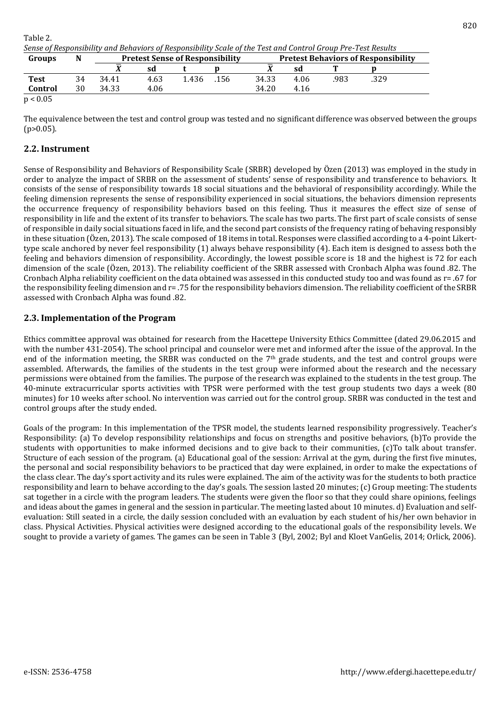| Table 2.                                                                                                     |  |
|--------------------------------------------------------------------------------------------------------------|--|
| Sense of Responsibility and Behaviors of Responsibility Scale of the Test and Control Group Pre-Test Results |  |

| Groups            | N  | <b>Pretest Sense of Responsibility</b> |      |       |      | <b>Pretest Behaviors of Responsibility</b> |      |      |      |
|-------------------|----|----------------------------------------|------|-------|------|--------------------------------------------|------|------|------|
|                   |    |                                        | sd   |       |      |                                            | sd   |      |      |
| <b>Test</b>       | 34 | 34.41                                  | 4.63 | . 436 | .156 | 34.33                                      | 4.06 | .983 | .329 |
| Control           | 30 | 34.33                                  | 4.06 |       |      | 34.20                                      | 4.16 |      |      |
| $\sim$ 0.0 $\sim$ |    |                                        |      |       |      |                                            |      |      |      |

 $p < 0.05$ 

The equivalence between the test and control group was tested and no significant difference was observed between the groups  $(p>0.05)$ .

## **2.2. Instrument**

Sense of Responsibility and Behaviors of Responsibility Scale (SRBR) developed by Özen (2013) was employed in the study in order to analyze the impact of SRBR on the assessment of students' sense of responsibility and transference to behaviors. It consists of the sense of responsibility towards 18 social situations and the behavioral of responsibility accordingly. While the feeling dimension represents the sense of responsibility experienced in social situations, the behaviors dimension represents the occurrence frequency of responsibility behaviors based on this feeling. Thus it measures the effect size of sense of responsibility in life and the extent of its transfer to behaviors. The scale has two parts. The first part of scale consists of sense of responsible in daily social situations faced in life, and the second part consists of the frequency rating of behaving responsibly in these situation (Özen, 2013). The scale composed of 18 items in total. Responses were classified according to a 4-point Likerttype scale anchored by never feel responsibility (1) always behave responsibility (4). Each item is designed to assess both the feeling and behaviors dimension of responsibility. Accordingly, the lowest possible score is 18 and the highest is 72 for each dimension of the scale (Özen, 2013). The reliability coefficient of the SRBR assessed with Cronbach Alpha was found .82. The Cronbach Alpha reliability coefficient on the data obtained was assessed in this conducted study too and was found as r= .67 for the responsibility feeling dimension and r= .75 for the responsibility behaviors dimension. The reliability coefficient of the SRBR assessed with Cronbach Alpha was found .82.

## **2.3. Implementation of the Program**

Ethics committee approval was obtained for research from the Hacettepe University Ethics Committee (dated 29.06.2015 and with the number 431-2054). The school principal and counselor were met and informed after the issue of the approval. In the end of the information meeting, the SRBR was conducted on the  $7<sup>th</sup>$  grade students, and the test and control groups were assembled. Afterwards, the families of the students in the test group were informed about the research and the necessary permissions were obtained from the families. The purpose of the research was explained to the students in the test group. The 40-minute extracurricular sports activities with TPSR were performed with the test group students two days a week (80 minutes) for 10 weeks after school. No intervention was carried out for the control group. SRBR was conducted in the test and control groups after the study ended.

Goals of the program: In this implementation of the TPSR model, the students learned responsibility progressively. Teacher's Responsibility: (a) To develop responsibility relationships and focus on strengths and positive behaviors, (b)To provide the students with opportunities to make informed decisions and to give back to their communities, (c)To talk about transfer. Structure of each session of the program. (a) Educational goal of the session: Arrival at the gym, during the first five minutes, the personal and social responsibility behaviors to be practiced that day were explained, in order to make the expectations of the class clear. The day's sport activity and its rules were explained. The aim of the activity was for the students to both practice responsibility and learn to behave according to the day's goals. The session lasted 20 minutes; (c) Group meeting: The students sat together in a circle with the program leaders. The students were given the floor so that they could share opinions, feelings and ideas about the games in general and the session in particular. The meeting lasted about 10 minutes. d) Evaluation and selfevaluation: Still seated in a circle, the daily session concluded with an evaluation by each student of his/her own behavior in class. Physical Activities. Physical activities were designed according to the educational goals of the responsibility levels. We sought to provide a variety of games. The games can be seen in Table 3 (Byl, 2002; Byl and Kloet VanGelis, 2014; Orlick, 2006).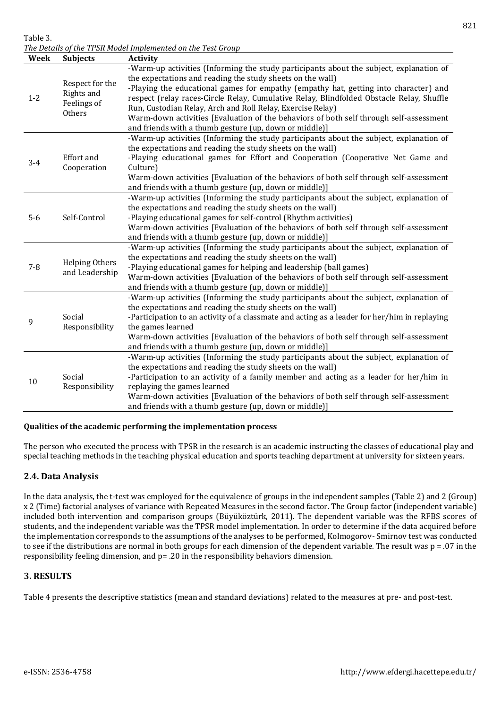Table 3.

*The Details of the TPSR Model Implemented on the Test Group*

| Week    | <b>Subjects</b>                                        | <b>Activity</b>                                                                                                                                                                                                                                                                                                                                                                                                                |
|---------|--------------------------------------------------------|--------------------------------------------------------------------------------------------------------------------------------------------------------------------------------------------------------------------------------------------------------------------------------------------------------------------------------------------------------------------------------------------------------------------------------|
| $1-2$   | Respect for the<br>Rights and<br>Feelings of<br>Others | -Warm-up activities (Informing the study participants about the subject, explanation of<br>the expectations and reading the study sheets on the wall)<br>-Playing the educational games for empathy (empathy hat, getting into character) and<br>respect (relay races-Circle Relay, Cumulative Relay, Blindfolded Obstacle Relay, Shuffle<br>Run, Custodian Relay, Arch and Roll Relay, Exercise Relay)                        |
|         |                                                        | Warm-down activities [Evaluation of the behaviors of both self through self-assessment<br>and friends with a thumb gesture (up, down or middle)]                                                                                                                                                                                                                                                                               |
| $3 - 4$ | Effort and<br>Cooperation                              | -Warm-up activities (Informing the study participants about the subject, explanation of<br>the expectations and reading the study sheets on the wall)<br>-Playing educational games for Effort and Cooperation (Cooperative Net Game and<br>Culture)<br>Warm-down activities [Evaluation of the behaviors of both self through self-assessment<br>and friends with a thumb gesture (up, down or middle)]                       |
| $5-6$   | Self-Control                                           | -Warm-up activities (Informing the study participants about the subject, explanation of<br>the expectations and reading the study sheets on the wall)<br>-Playing educational games for self-control (Rhythm activities)<br>Warm-down activities [Evaluation of the behaviors of both self through self-assessment<br>and friends with a thumb gesture (up, down or middle)]                                                   |
| $7 - 8$ | <b>Helping Others</b><br>and Leadership                | -Warm-up activities (Informing the study participants about the subject, explanation of<br>the expectations and reading the study sheets on the wall)<br>-Playing educational games for helping and leadership (ball games)<br>Warm-down activities [Evaluation of the behaviors of both self through self-assessment<br>and friends with a thumb gesture (up, down or middle)]                                                |
| 9       | Social<br>Responsibility                               | -Warm-up activities (Informing the study participants about the subject, explanation of<br>the expectations and reading the study sheets on the wall)<br>-Participation to an activity of a classmate and acting as a leader for her/him in replaying<br>the games learned<br>Warm-down activities [Evaluation of the behaviors of both self through self-assessment<br>and friends with a thumb gesture (up, down or middle)] |
| 10      | Social<br>Responsibility                               | -Warm-up activities (Informing the study participants about the subject, explanation of<br>the expectations and reading the study sheets on the wall)<br>-Participation to an activity of a family member and acting as a leader for her/him in<br>replaying the games learned                                                                                                                                                 |

### **Qualities of the academic performing the implementation process**

The person who executed the process with TPSR in the research is an academic instructing the classes of educational play and special teaching methods in the teaching physical education and sports teaching department at university for sixteen years.

and friends with a thumb gesture (up, down or middle)]

Warm-down activities [Evaluation of the behaviors of both self through self-assessment

### **2.4. Data Analysis**

In the data analysis, the t-test was employed for the equivalence of groups in the independent samples (Table 2) and 2 (Group) x 2 (Time) factorial analyses of variance with Repeated Measures in the second factor. The Group factor (independent variable) included both intervention and comparison groups (Büyüköztürk, 2011). The dependent variable was the RFBS scores of students, and the independent variable was the TPSR model implementation. In order to determine if the data acquired before the implementation corresponds to the assumptions of the analyses to be performed, Kolmogorov- Smirnov test was conducted to see if the distributions are normal in both groups for each dimension of the dependent variable. The result was  $p = 0.07$  in the responsibility feeling dimension, and p= .20 in the responsibility behaviors dimension.

### **3. RESULTS**

Table 4 presents the descriptive statistics (mean and standard deviations) related to the measures at pre- and post-test.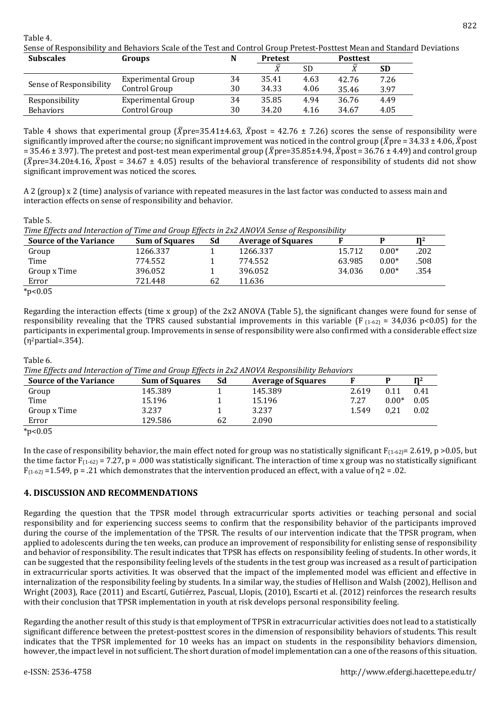Table 4.

Sense of Responsibility and Behaviors Scale of the Test and Control Group Pretest-Posttest Mean and Standard Deviations

| <b>Subscales</b>        | <b>Groups</b>      | N  | <b>Pretest</b> |           | <b>Posttest</b> |           |  |
|-------------------------|--------------------|----|----------------|-----------|-----------------|-----------|--|
|                         |                    |    | τz             | <b>SD</b> | ū               | <b>SD</b> |  |
|                         | Experimental Group | 34 | 35.41          | 4.63      | 42.76           | 7.26      |  |
| Sense of Responsibility | Control Group      | 30 | 34.33          | 4.06      | 35.46           | 3.97      |  |
| Responsibility          | Experimental Group | 34 | 35.85          | 4.94      | 36.76           | 4.49      |  |
| <b>Behaviors</b>        | Control Group      | 30 | 34.20          | 4.16      | 34.67           | 4.05      |  |

Table 4 shows that experimental group ( $\bar{X}$ pre=35.41±4.63,  $\bar{X}$ post = 42.76 ± 7.26) scores the sense of responsibility were significantly improved after the course; no significant improvement was noticed in the control group ( $\bar{X}$ pre = 34.33 ± 4.06,  $\bar{X}$ post = 35.46  $\pm$  3.97). The pretest and post-test mean experimental group ( $\bar{X}$ pre=35.85±4.94,  $\bar{X}$ post = 36.76  $\pm$  4.49) and control group  $(\bar{X}$ pre=34.20±4.16,  $\bar{X}$ post = 34.67 ± 4.05) results of the behavioral transference of responsibility of students did not show significant improvement was noticed the scores.

A 2 (group) x 2 (time) analysis of variance with repeated measures in the last factor was conducted to assess main and interaction effects on sense of responsibility and behavior.

Table 5.

|  | Time Effects and Interaction of Time and Group Effects in 2x2 ANOVA Sense of Responsibility |  |  |  |  |
|--|---------------------------------------------------------------------------------------------|--|--|--|--|
|  |                                                                                             |  |  |  |  |
|  |                                                                                             |  |  |  |  |

| $\overline{\phantom{a}}$<br><b>Source of the Variance</b> | .<br><b>Sum of Squares</b> | Sd | <b>Average of Squares</b> |        |         | n <sub>2</sub> |
|-----------------------------------------------------------|----------------------------|----|---------------------------|--------|---------|----------------|
| Group                                                     | 1266.337                   |    | 1266.337                  | 15.712 | $0.00*$ | .202           |
| Time                                                      | 774.552                    |    | 774.552                   | 63.985 | $0.00*$ | .508           |
| Group x Time                                              | 396.052                    |    | 396.052                   | 34.036 | $0.00*$ | .354           |
| Error                                                     | 721.448                    | 62 | 11.636                    |        |         |                |
| $*_{p<0.05}$                                              |                            |    |                           |        |         |                |

Regarding the interaction effects (time x group) of the 2x2 ANOVA (Table 5), the significant changes were found for sense of responsibility revealing that the TPRS caused substantial improvements in this variable (F<sub>1-62)</sub> = 34,036 p<0.05) for the participants in experimental group. Improvements in sense of responsibility were also confirmed with a considerable effect size  $(n^2$ partial=.354).

### Table 6.

*Time Effects and Interaction of Time and Group Effects in 2x2 ANOVA Responsibility Behaviors*

|                               | $\frac{1}{2}$         |    |                           |       |         |                |  |  |  |  |
|-------------------------------|-----------------------|----|---------------------------|-------|---------|----------------|--|--|--|--|
| <b>Source of the Variance</b> | <b>Sum of Squares</b> | Sd | <b>Average of Squares</b> |       |         | n <sub>2</sub> |  |  |  |  |
| Group                         | 145.389               |    | 145.389                   | 2.619 | 0.11    | 0.41           |  |  |  |  |
| Time                          | 15.196                |    | 15.196                    | 7.27  | $0.00*$ | 0.05           |  |  |  |  |
| Group x Time                  | 3.237                 |    | 3.237                     | 1.549 | 0.21    | 0.02           |  |  |  |  |
| Error                         | 129.586               | 62 | 2.090                     |       |         |                |  |  |  |  |
| .                             |                       |    |                           |       |         |                |  |  |  |  |

 $*p<0.05$ 

In the case of responsibility behavior, the main effect noted for group was no statistically significant  $F_{(1-62)} = 2.619$ , p  $> 0.05$ , but the time factor  $F(1-62) = 7.27$ ,  $p = .000$  was statistically significant. The interaction of time x group was no statistically significant  $F(1-62) = 1.549$ , p = .21 which demonstrates that the intervention produced an effect, with a value of  $\eta$ 2 = .02.

### **4. DISCUSSION AND RECOMMENDATIONS**

Regarding the question that the TPSR model through extracurricular sports activities or teaching personal and social responsibility and for experiencing success seems to confirm that the responsibility behavior of the participants improved during the course of the implementation of the TPSR. The results of our intervention indicate that the TPSR program, when applied to adolescents during the ten weeks, can produce an improvement of responsibility for enlisting sense of responsibility and behavior of responsibility. The result indicates that TPSR has effects on responsibility feeling of students. In other words, it can be suggested that the responsibility feeling levels of the students in the test group was increased as a result of participation in extracurricular sports activities. It was observed that the impact of the implemented model was efficient and effective in internalization of the responsibility feeling by students. In a similar way, the studies of Hellison and Walsh (2002), Hellison and Wright (2003), Race (2011) and Escartí, Gutiérrez, Pascual, Llopis, (2010), Escarti et al. (2012) reinforces the research results with their conclusion that TPSR implementation in youth at risk develops personal responsibility feeling.

Regarding the another result of this study is that employment of TPSR in extracurricular activities does not lead to a statistically significant difference between the pretest-posttest scores in the dimension of responsibility behaviors of students. This result indicates that the TPSR implemented for 10 weeks has an impact on students in the responsibility behaviors dimension, however, the impact level in not sufficient. The short duration of model implementation can a one of the reasons of this situation.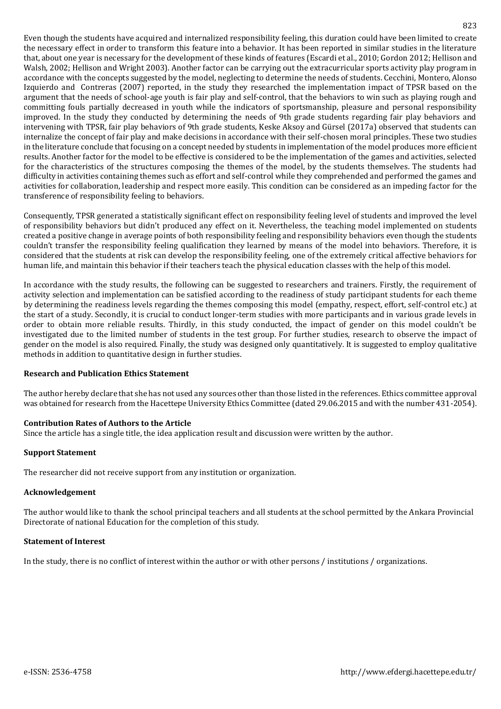Even though the students have acquired and internalized responsibility feeling, this duration could have been limited to create the necessary effect in order to transform this feature into a behavior. It has been reported in similar studies in the literature that, about one year is necessary for the development of these kinds of features (Escardi et al., 2010; Gordon 2012; Hellison and Walsh, 2002; Hellison and Wright 2003). Another factor can be carrying out the extracurricular sports activity play program in accordance with the concepts suggested by the model, neglecting to determine the needs of students. [Cecchini,](https://www.tandfonline.com/author/Cecchini,+José+A) [Montero,](https://www.tandfonline.com/author/Montero,+Javier) [Alonso](https://www.tandfonline.com/author/Alonso,+Alicia) [Izquierdo](https://www.tandfonline.com/author/Izquierdo,+Mikel) and [Contreras](https://www.tandfonline.com/author/Contreras,+Onofre) (2007) reported, in the study they researched the implementation impact of TPSR based on the argument that the needs of school-age youth is fair play and self-control, that the behaviors to win such as playing rough and committing fouls partially decreased in youth while the indicators of sportsmanship, pleasure and personal responsibility improved. In the study they conducted by determining the needs of 9th grade students regarding fair play behaviors and intervening with TPSR, fair play behaviors of 9th grade students, Keske Aksoy and Gürsel (2017a) observed that students can internalize the concept of fair play and make decisions in accordance with their self-chosen moral principles. These two studies in the literature conclude that focusing on a concept needed by students in implementation of the model produces more efficient results. Another factor for the model to be effective is considered to be the implementation of the games and activities, selected for the characteristics of the structures composing the themes of the model, by the students themselves. The students had difficulty in activities containing themes such as effort and self-control while they comprehended and performed the games and activities for collaboration, leadership and respect more easily. This condition can be considered as an impeding factor for the transference of responsibility feeling to behaviors.

Consequently, TPSR generated a statistically significant effect on responsibility feeling level of students and improved the level of responsibility behaviors but didn't produced any effect on it. Nevertheless, the teaching model implemented on students created a positive change in average points of both responsibility feeling and responsibility behaviors even though the students couldn't transfer the responsibility feeling qualification they learned by means of the model into behaviors. Therefore, it is considered that the students at risk can develop the responsibility feeling, one of the extremely critical affective behaviors for human life, and maintain this behavior if their teachers teach the physical education classes with the help of this model.

In accordance with the study results, the following can be suggested to researchers and trainers. Firstly, the requirement of activity selection and implementation can be satisfied according to the readiness of study participant students for each theme by determining the readiness levels regarding the themes composing this model (empathy, respect, effort, self-control etc.) at the start of a study. Secondly, it is crucial to conduct longer-term studies with more participants and in various grade levels in order to obtain more reliable results. Thirdly, in this study conducted, the impact of gender on this model couldn't be investigated due to the limited number of students in the test group. For further studies, research to observe the impact of gender on the model is also required. Finally, the study was designed only quantitatively. It is suggested to employ qualitative methods in addition to quantitative design in further studies.

### **Research and Publication Ethics Statement**

The author hereby declare that she has not used any sources other than those listed in the references. Ethics committee approval was obtained for research from the Hacettepe University Ethics Committee (dated 29.06.2015 and with the number 431-2054).

### **Contribution Rates of Authors to the Article**

Since the article has a single title, the idea application result and discussion were written by the author.

### **Support Statement**

The researcher did not receive support from any institution or organization.

### **Acknowledgement**

The author would like to thank the school principal teachers and all students at the school permitted by the Ankara Provincial Directorate of national Education for the completion of this study.

### **Statement of Interest**

In the study, there is no conflict of interest within the author or with other persons / institutions / organizations.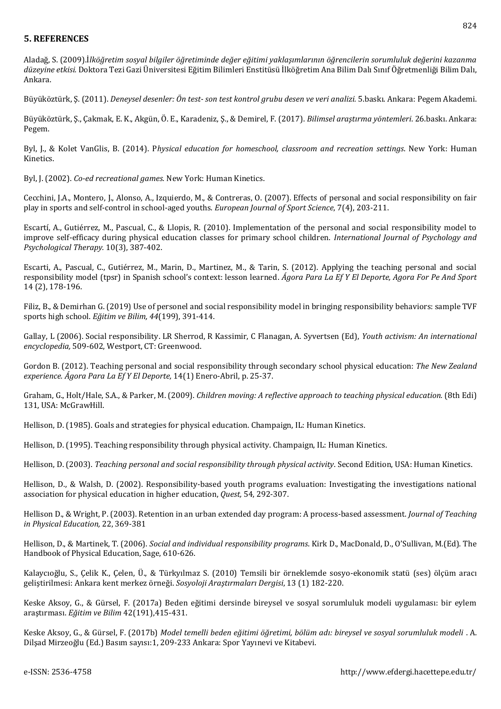## **5. REFERENCES**

Aladağ, S. (2009).İ*lköğretim sosyal bilgiler öğretiminde değer eğitimi yaklaşımlarının öğrencilerin sorumluluk değerini kazanma düzeyine etkisi.* Doktora Tezi Gazi Üniversitesi Eğitim Bilimleri Enstitüsü İlköğretim Ana Bilim Dalı Sınıf Öğretmenliği Bilim Dalı, Ankara.

Büyüköztürk, Ş. (2011). *Deneysel desenler: Ön test- son test kontrol grubu desen ve veri analizi.* 5.baskı. Ankara: Pegem Akademi.

Büyüköztürk, Ş., Çakmak, E. K., Akgün, Ö. E., Karadeniz, Ş., & Demirel, F. (2017). *Bilimsel araştırma yöntemleri*. 26.baskı. Ankara: Pegem.

Byl, J., & Kolet VanGlis, B. (2014). P*hysical education for homeschool, classroom and recreation settings*. New York: Human Kinetics.

Byl, J. (2002). *Co-ed recreational games.* New York: Human Kinetics.

[Cecchini, J.A.,](https://www.tandfonline.com/author/Cecchini%2C+Jos%C3%A9+A) [Montero,](https://www.tandfonline.com/author/Montero%2C+Javier) J., [Alonso,](https://www.tandfonline.com/author/Alonso%2C+Alicia) A., [Izquierdo,](https://www.tandfonline.com/author/Izquierdo%2C+Mikel) M., & [Contreras,](https://www.tandfonline.com/author/Contreras%2C+Onofre) O. (2007). Effects of personal and social responsibility on fair play in sports and self-control in school-aged youths. *European Journal of Sport Science*, 7(4), 203-211.

Escartí, A., Gutiérrez, M., Pascual, C., & Llopis, R. (2010). Implementation of the personal and social responsibility model to improve self-efficacy during physical education classes for primary school children. *International Journal of Psychology and Psychological Therapy.* 10(3), 387-402.

Escarti, A., Pascual, C., Gutiérrez, M., Marin, D., Martinez, M., & Tarin, S. (2012). Applying the teaching personal and social responsibility model (tpsr) in Spanish school's context: lesson learned. *Ágora Para La Ef Y El Deporte, Agora For Pe And Sport* 14 (2), 178-196.

Filiz, B., & Demirhan G. (2019) Use of personel and social responsibility model in bringing responsibility behaviors: sample TVF sports high school. *Eğitim ve Bilim, 44*(199), 391-414.

Gallay, L (2006). Social responsibility. LR Sherrod, R Kassimir, C Flanagan, A. Syvertsen (Ed), *Youth activism: An international encyclopedia,* 509-602, Westport, CT: Greenwood.

Gordon B. (2012). Teaching personal and social responsibility through secondary school physical education: *The New Zealand experience. Ágora Para La Ef Y El Deporte,* 14(1) Enero-Abril, p. 25-37.

Graham, G., Holt/Hale, S.A., & Parker, M. (2009). *Children moving: A reflective approach to teaching physical education.* (8th Edi) 131, USA: McGrawHill.

Hellison, D. (1985). Goals and strategies for physical education. Champaign, IL: Human Kinetics.

Hellison, D. (1995). Teaching responsibility through physical activity. Champaign, IL: Human Kinetics.

Hellison, D. (2003). *Teaching personal and social responsibility through physical activity*. Second Edition, USA: Human Kinetics.

Hellison, D., & Walsh, D. (2002). Responsibility-based youth programs evaluation: Investigating the investigations national association for physical education in higher education, *Quest,* 54, 292-307.

Hellison D., & Wright, P. (2003). Retention in an urban extended day program: A process-based assessment. *Journal of Teaching in Physical Education,* 22, 369-381

Hellison, D., & Martinek, T. (2006). *Social and individual responsibility programs*. Kirk D., MacDonald, D., O'Sullivan, M.(Ed). The Handbook of Physical Education, Sage, 610-626.

Kalaycıoğlu, S., Çelik K., Çelen, Ü., & Türkyılmaz S. (2010) Temsili bir örneklemde sosyo-ekonomik statü (ses) ölçüm aracı geliştirilmesi: Ankara kent merkez örneği. *Sosyoloji Araştırmaları Dergisi*, 13 (1) 182-220.

Keske Aksoy, G., & Gürsel, F. (2017a) Beden eğitimi dersinde bireysel ve sosyal sorumluluk modeli uygulaması: bir eylem araştırması. *Eğitim ve Bilim* 42(191),415-431.

Keske Aksoy, G., & Gürsel, F. (2017b) *Model temelli beden eğitimi öğretimi, bölüm adı: bireysel ve sosyal sorumluluk modeli* . A. Dilşad Mirzeoğlu (Ed.) Basım sayısı:1, 209-233 Ankara: Spor Yayınevi ve Kitabevi.